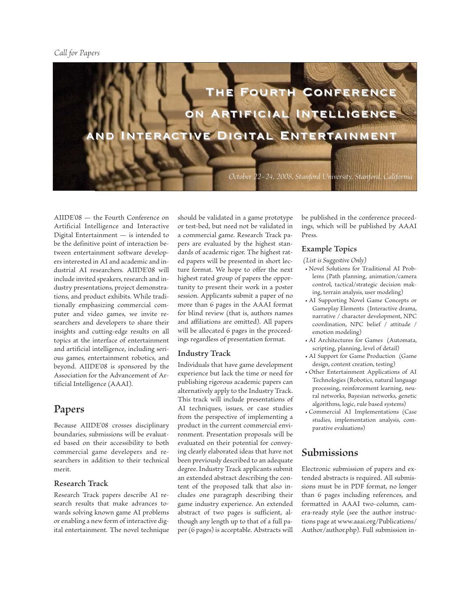

AIIDE'08 — the Fourth Conference on Artificial Intelligence and Interactive Digital Entertainment — is intended to be the definitive point of interaction between entertainment software developers interested in AI and academic and industrial AI researchers. AIIDE'08 will include invited speakers, research and industry presentations, project demonstrations, and product exhibits. While traditionally emphasizing commercial computer and video games, we invite researchers and developers to share their insights and cutting-edge results on all topics at the interface of entertainment and artificial intelligence, including serious games, entertainment robotics, and beyond. AIIDE'08 is sponsored by the Association for the Advancement of Artificial Intelligence (AAAI).

### **Papers**

Because AIIDE'08 crosses disciplinary boundaries, submissions will be evaluated based on their accessibility to both commercial game developers and researchers in addition to their technical merit.

### **Research Track**

Research Track papers describe AI research results that make advances towards solving known game AI problems or enabling a new form of interactive digital entertainment. The novel technique should be validated in a game prototype or test-bed, but need not be validated in a commercial game. Research Track papers are evaluated by the highest standards of academic rigor. The highest rated papers will be presented in short lecture format. We hope to offer the next highest rated group of papers the opportunity to present their work in a poster session. Applicants submit a paper of no more than 6 pages in the AAAI format for blind review (that is, authors names and affiliations are omitted). All papers will be allocated 6 pages in the proceedings regardless of presentation format.

### **Industry Track**

Individuals that have game development experience but lack the time or need for publishing rigorous academic papers can alternatively apply to the Industry Track. This track will include presentations of AI techniques, issues, or case studies from the perspective of implementing a product in the current commercial environment. Presentation proposals will be evaluated on their potential for conveying clearly elaborated ideas that have not been previously described to an adequate degree. Industry Track applicants submit an extended abstract describing the content of the proposed talk that also includes one paragraph describing their game industry experience. An extended abstract of two pages is sufficient, although any length up to that of a full paper (6 pages) is acceptable. Abstracts will be published in the conference proceedings, which will be published by AAAI Press.

#### **Example Topics**

*(List is Suggestive Only)*

- Novel Solutions for Traditional AI Problems (Path planning, animation/camera control, tactical/strategic decision making, terrain analysis, user modeling)
- AI Supporting Novel Game Concepts or Gameplay Elements (Interactive drama, narrative / character development, NPC coordination, NPC belief / attitude / emotion modeling)
- AI Architectures for Games (Automata, scripting, planning, level of detail)
- AI Support for Game Production (Game design, content creation, testing)
- Other Entertainment Applications of AI Technologies (Robotics, natural language processing, reinforcement learning, neural networks, Bayesian networks, genetic algorithms, logic, rule based systems)
- Commercial AI Implementations (Case studies, implementation analysis, comparative evaluations)

### **Submissions**

Electronic submission of papers and extended abstracts is required. All submissions must be in PDF format, no longer than 6 pages including references, and formatted in AAAI two-column, camera-ready style (see the author instructions page at www.aaai.org/Publications/ Author/author.php). Full submission in